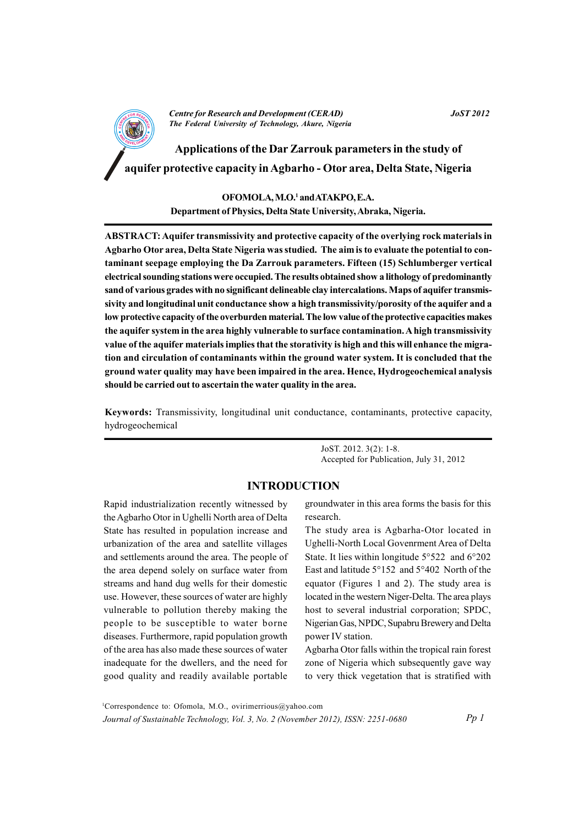

**Centre for Research and Development (CERAD)** The Federal University of Technology, Akure, Nigeria **JoST 2012** 

Applications of the Dar Zarrouk parameters in the study of aquifer protective capacity in Agbarho - Otor area, Delta State, Nigeria

> OFOMOLA, M.O.1 and ATAKPO, E.A. Department of Physics, Delta State University, Abraka, Nigeria.

ABSTRACT: Aquifer transmissivity and protective capacity of the overlying rock materials in Agbarho Otor area, Delta State Nigeria was studied. The aim is to evaluate the potential to contaminant seepage employing the Da Zarrouk parameters. Fifteen (15) Schlumberger vertical electrical sounding stations were occupied. The results obtained show a lithology of predominantly sand of various grades with no significant delineable clay intercalations. Maps of aquifer transmissivity and longitudinal unit conductance show a high transmissivity/porosity of the aquifer and a low protective capacity of the overburden material. The low value of the protective capacities makes the aquifer system in the area highly vulnerable to surface contamination. A high transmissivity value of the aquifer materials implies that the storativity is high and this will enhance the migration and circulation of contaminants within the ground water system. It is concluded that the ground water quality may have been impaired in the area. Hence, Hydrogeochemical analysis should be carried out to ascertain the water quality in the area.

Keywords: Transmissivity, longitudinal unit conductance, contaminants, protective capacity, hydrogeochemical

> JoST. 2012. 3(2): 1-8. Accepted for Publication, July 31, 2012

## **INTRODUCTION**

Rapid industrialization recently witnessed by the Agbarho Otor in Ughelli North area of Delta State has resulted in population increase and urbanization of the area and satellite villages and settlements around the area. The people of the area depend solely on surface water from streams and hand dug wells for their domestic use. However, these sources of water are highly vulnerable to pollution thereby making the people to be susceptible to water borne diseases. Furthermore, rapid population growth of the area has also made these sources of water inadequate for the dwellers, and the need for good quality and readily available portable

groundwater in this area forms the basis for this research.

The study area is Agbarha-Otor located in Ughelli-North Local Govenrment Area of Delta State. It lies within longitude  $5^{\circ}522$  and  $6^{\circ}202$ East and latitude 5°152 and 5°402 North of the equator (Figures 1 and 2). The study area is located in the western Niger-Delta. The area plays host to several industrial corporation; SPDC, Nigerian Gas, NPDC, Supabru Brewery and Delta power IV station.

Agbarha Otor falls within the tropical rain forest zone of Nigeria which subsequently gave way to very thick vegetation that is stratified with

<sup>1</sup>Correspondence to: Ofomola, M.O., ovirimerrious@yahoo.com Journal of Sustainable Technology, Vol. 3, No. 2 (November 2012), ISSN: 2251-0680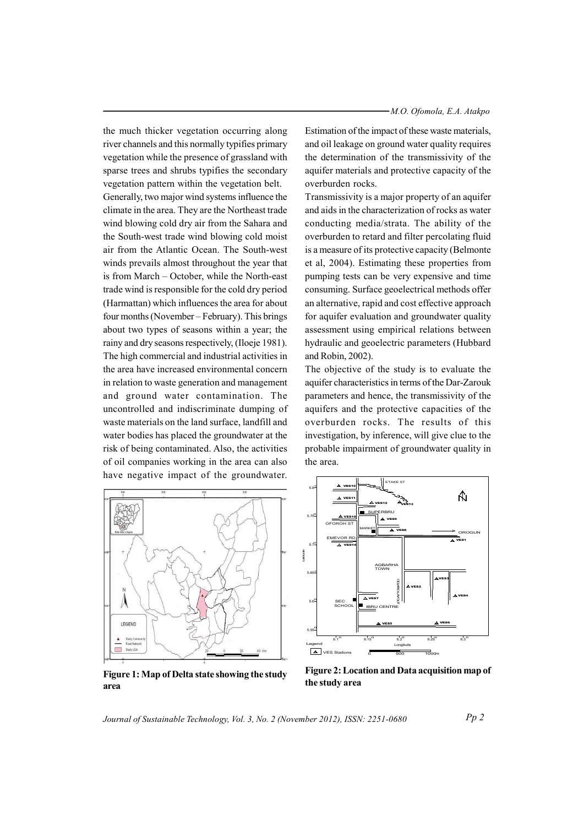the much thicker vegetation occurring along river channels and this normally typifies primary vegetation while the presence of grassland with sparse trees and shrubs typifies the secondary vegetation pattern within the vegetation belt.

Generally, two major wind systems influence the climate in the area. They are the Northeast trade wind blowing cold dry air from the Sahara and the South-west trade wind blowing cold moist air from the Atlantic Ocean. The South-west winds prevails almost throughout the year that is from March – October, while the North-east trade wind is responsible for the cold dry period (Harmattan) which influences the area for about four months (November – February). This brings about two types of seasons within a year: the rainy and dry seasons respectively, (Iloeje 1981). The high commercial and industrial activities in the area have increased environmental concern in relation to waste generation and management and ground water contamination. The uncontrolled and indiscriminate dumping of waste materials on the land surface, landfill and water bodies has placed the groundwater at the risk of being contaminated. Also, the activities of oil companies working in the area can also have negative impact of the groundwater.

Estimation of the impact of these waste materials, and oil leakage on ground water quality requires the determination of the transmissivity of the aquifer materials and protective capacity of the overburden rocks.

Transmissivity is a major property of an aquifer and aids in the characterization of rocks as water conducting media/strata. The ability of the overburden to retard and filter percolating fluid is a measure of its protective capacity (Belmonte et al, 2004). Estimating these properties from pumping tests can be very expensive and time consuming. Surface geoelectrical methods offer an alternative, rapid and cost effective approach for aquifer evaluation and groundwater quality assessment using empirical relations between hydraulic and geoelectric parameters (Hubbard and Robin, 2002).

The objective of the study is to evaluate the aquifer characteristics in terms of the Dar-Zarouk parameters and hence, the transmissivity of the aquifers and the protective capacities of the overburden rocks. The results of this investigation, by inference, will give clue to the probable impairment of groundwater quality in the area.



A.  $\triangle$  ves  $5.75$  $\triangle$  vess ⋽  $\overline{\wedge}$  ve AGBARH 5.55  $\frac{1}{6.2}$  $\Delta$  VES Stations

Figure 1: Map of Delta state showing the study area

Figure 2: Location and Data acquisition map of the study area

Journal of Sustainable Technology, Vol. 3, No. 2 (November 2012), ISSN: 2251-0680

 $Pp2$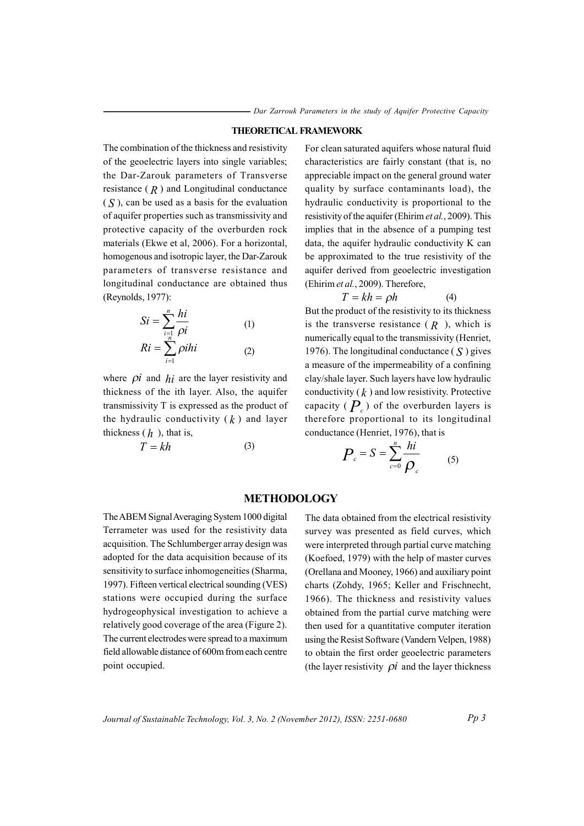#### **THEORETICAL FRAMEWORK**

The combination of the thickness and resistivity of the geoelectric layers into single variables; the Dar-Zarouk parameters of Transverse resistance  $(R)$  and Longitudinal conductance  $(S)$ , can be used as a basis for the evaluation of aquifer properties such as transmissivity and protective capacity of the overburden rock materials (Ekwe et al, 2006). For a horizontal, homogenous and isotropic layer, the Dar-Zarouk parameters of transverse resistance and longitudinal conductance are obtained thus (Revnolds, 1977):

$$
Si = \sum_{i=1}^{n} \frac{hi}{\rho i}
$$
 (1)  

$$
Ri = \sum_{i=1}^{n} \rho ihi
$$
 (2)

where  $\pi$  and  $\hbar i$  are the layer resistivity and thickness of the ith layer. Also, the aquifer transmissivity T is expressed as the product of the hydraulic conductivity  $(k)$  and layer thickness  $(h)$ , that is,

$$
T = kh \tag{3}
$$

For clean saturated aquifers whose natural fluid characteristics are fairly constant (that is, no appreciable impact on the general ground water quality by surface contaminants load), the hydraulic conductivity is proportional to the resistivity of the aquifer (Ehirim et al., 2009). This implies that in the absence of a pumping test data, the aquifer hydraulic conductivity K can be approximated to the true resistivity of the aquifer derived from geoelectric investigation (Ehirim et al., 2009). Therefore,

$$
T = kh = \rho h \tag{4}
$$

But the product of the resistivity to its thickness is the transverse resistance  $(R)$ , which is numerically equal to the transmissivity (Henriet, 1976). The longitudinal conductance  $(S)$  gives a measure of the impermeability of a confining clay/shale layer. Such layers have low hydraulic conductivity  $(k)$  and low resistivity. Protective capacity ( $P_c$ ) of the overburden layers is therefore proportional to its longitudinal conductance (Henriet, 1976), that is

$$
P_c = S = \sum_{c=0}^{n} \frac{hi}{\rho_c}
$$
 (5)

### **METHODOLOGY**

The ABEM Signal Averaging System 1000 digital Terrameter was used for the resistivity data acquisition. The Schlumberger array design was adopted for the data acquisition because of its sensitivity to surface inhomogeneities (Sharma, 1997). Fifteen vertical electrical sounding (VES) stations were occupied during the surface hydrogeophysical investigation to achieve a relatively good coverage of the area (Figure 2). The current electrodes were spread to a maximum field allowable distance of 600m from each centre point occupied.

The data obtained from the electrical resistivity survey was presented as field curves, which were interpreted through partial curve matching (Koefoed, 1979) with the help of master curves (Orellana and Mooney, 1966) and auxiliary point charts (Zohdy, 1965; Keller and Frischnecht, 1966). The thickness and resistivity values obtained from the partial curve matching were then used for a quantitative computer iteration using the Resist Software (Vandern Velpen, 1988) to obtain the first order geoelectric parameters (the layer resistivity  $\pi$ ) and the layer thickness

Journal of Sustainable Technology, Vol. 3, No. 2 (November 2012), ISSN: 2251-0680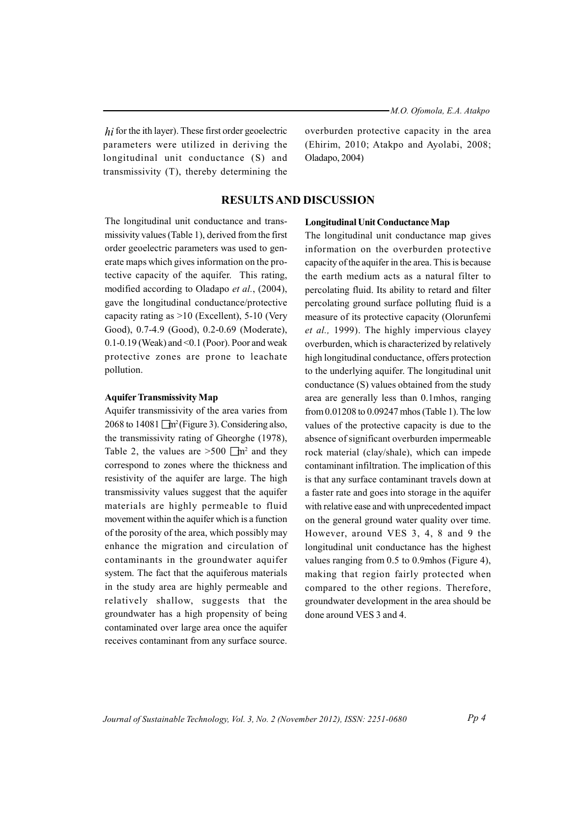$hi$  for the ith layer). These first order geoelectric parameters were utilized in deriving the longitudinal unit conductance (S) and transmissivity (T), thereby determining the overburden protective capacity in the area (Ehirim, 2010; Atakpo and Ayolabi, 2008; Oladapo, 2004)

## **RESULTS AND DISCUSSION**

The longitudinal unit conductance and transmissivity values (Table 1), derived from the first order geoelectric parameters was used to generate maps which gives information on the protective capacity of the aquifer. This rating, modified according to Oladapo et al., (2004), gave the longitudinal conductance/protective capacity rating as  $>10$  (Excellent), 5-10 (Very Good), 0.7-4.9 (Good), 0.2-0.69 (Moderate),  $0.1$ -0.19 (Weak) and <0.1 (Poor). Poor and weak protective zones are prone to leachate pollution.

#### **Aquifer Transmissivity Map**

Aquifer transmissivity of the area varies from 2068 to 14081  $\Box$ m<sup>2</sup> (Figure 3). Considering also, the transmissivity rating of Gheorghe (1978), Table 2, the values are  $>500$   $\Box$ m<sup>2</sup> and they correspond to zones where the thickness and resistivity of the aquifer are large. The high transmissivity values suggest that the aquifer materials are highly permeable to fluid movement within the aquifer which is a function of the porosity of the area, which possibly may enhance the migration and circulation of contaminants in the groundwater aquifer system. The fact that the aquiferous materials in the study area are highly permeable and relatively shallow, suggests that the groundwater has a high propensity of being contaminated over large area once the aquifer receives contaminant from any surface source.

#### **Longitudinal Unit Conductance Map**

The longitudinal unit conductance map gives information on the overburden protective capacity of the aquifer in the area. This is because the earth medium acts as a natural filter to percolating fluid. Its ability to retard and filter percolating ground surface polluting fluid is a measure of its protective capacity (Olorunfemi et al., 1999). The highly impervious clayey overburden, which is characterized by relatively high longitudinal conductance, offers protection to the underlying aquifer. The longitudinal unit conductance (S) values obtained from the study area are generally less than 0.1mhos, ranging from 0.01208 to 0.09247 mhos (Table 1). The low values of the protective capacity is due to the absence of significant overburden impermeable rock material (clay/shale), which can impede contaminant infiltration. The implication of this is that any surface contaminant travels down at a faster rate and goes into storage in the aquifer with relative ease and with unprecedented impact on the general ground water quality over time. However, around VES 3, 4, 8 and 9 the longitudinal unit conductance has the highest values ranging from 0.5 to 0.9mhos (Figure 4), making that region fairly protected when compared to the other regions. Therefore, groundwater development in the area should be done around VES 3 and 4.

Journal of Sustainable Technology, Vol. 3, No. 2 (November 2012), ISSN: 2251-0680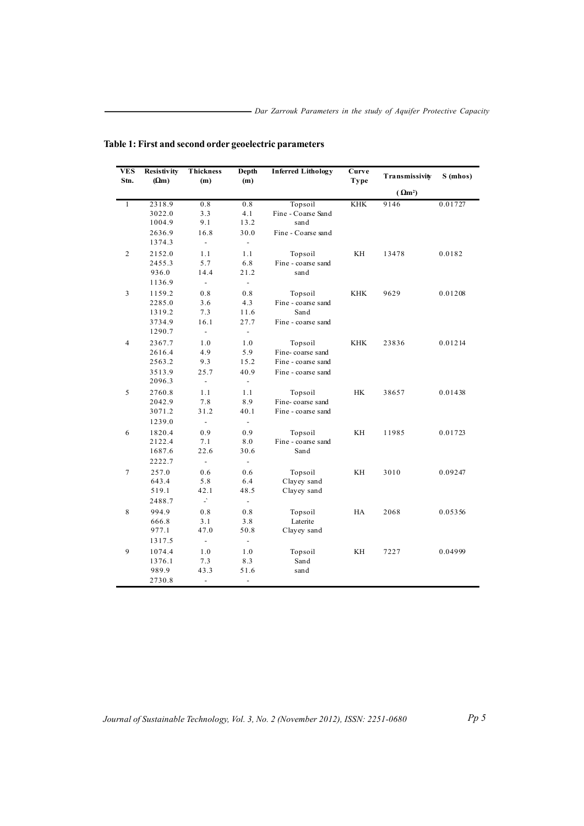| VES<br>Stn.             | Resistivity<br>$(\Omega m)$ | Thickness<br>(m)         | Depth<br>(m)             | <b>Inferred Lithology</b> | Curve<br>Type           | Transmissivity | S (mhos) |
|-------------------------|-----------------------------|--------------------------|--------------------------|---------------------------|-------------------------|----------------|----------|
|                         |                             |                          |                          |                           |                         | $(\Omega m^2)$ |          |
| $\overline{1}$          | 2318.9                      | 0.8                      | 0.8                      | Topsoil                   | $\overline{\text{KHK}}$ | 9146           | 0.01727  |
|                         | 3022.0                      | 3.3                      | 4.1                      | Fine - Coarse Sand        |                         |                |          |
|                         | 1004.9                      | 9.1                      | 13.2                     | sand                      |                         |                |          |
|                         | 2636.9                      | 16.8                     | 30.0                     | Fine - Coarse sand        |                         |                |          |
|                         | 1374.3                      | $\frac{1}{2}$            | $\frac{1}{2}$            |                           |                         |                |          |
| $\overline{c}$          | 2152.0                      | 1.1                      | 1.1                      | Topsoil                   | ΚH                      | 13478          | 0.0182   |
|                         | 2455.3                      | 5.7                      | 6.8                      | Fine - coarse sand        |                         |                |          |
|                         | 936.0                       | 14.4                     | 21.2                     | sand                      |                         |                |          |
|                         | 1136.9                      | $\frac{1}{2}$            | $\overline{\phantom{a}}$ |                           |                         |                |          |
| $\overline{\mathbf{3}}$ | 1159.2                      | 0.8                      | $0.8$                    | Topsoil                   | <b>KHK</b>              | 9629           | 0.01208  |
|                         | 2285.0                      | 3.6                      | 4.3                      | Fine - coarse sand        |                         |                |          |
|                         | 1319.2                      | 7.3                      | 11.6                     | Sand                      |                         |                |          |
|                         | 3734.9                      | 16.1                     | 27.7                     | Fine - coarse sand        |                         |                |          |
|                         | 1290.7                      | $\blacksquare$           | $\blacksquare$           |                           |                         |                |          |
| $\overline{4}$          | 2367.7                      | 1.0                      | 1.0                      | Topsoil                   | <b>KHK</b>              | 23836          | 0.01214  |
|                         | 2616.4                      | 4.9                      | 5.9                      | Fine-coarse sand          |                         |                |          |
|                         | 2563.2                      | 9.3                      | 15.2                     | Fine - coarse sand        |                         |                |          |
|                         | 3513.9                      | 25.7                     | 40.9                     | Fine - coarse sand        |                         |                |          |
|                         | 2096.3                      | $\overline{\phantom{a}}$ | $\blacksquare$           |                           |                         |                |          |
| 5                       | 2760.8                      | 1.1                      | 1.1                      | Topsoil                   | <b>HK</b>               | 38657          | 0.01438  |
|                         | 2042.9                      | 7.8                      | 8.9                      | Fine-coarse sand          |                         |                |          |
|                         | 3071.2                      | 31.2                     | 40.1                     | Fine - coarse sand        |                         |                |          |
|                         | 1239.0                      | $\overline{\phantom{a}}$ | $\overline{\phantom{a}}$ |                           |                         |                |          |
| 6                       | 1820.4                      | 0.9                      | 0.9                      | Topsoil                   | KH                      | 11985          | 0.01723  |
|                         | 2122.4                      | 7.1                      | 8.0                      | Fine - coarse sand        |                         |                |          |
|                         | 1687.6                      | 22.6                     | 30.6                     | Sand                      |                         |                |          |
|                         | 2222.7                      | $\frac{1}{2}$            | $\overline{\phantom{a}}$ |                           |                         |                |          |
| 7                       | 257.0                       | 0.6                      | 0.6                      | Topsoil                   | KH                      | 3010           | 0.09247  |
|                         | 643.4                       | 5.8                      | 6.4                      | Clayey sand               |                         |                |          |
|                         | 519.1                       | 42.1                     | 48.5                     | Clayey sand               |                         |                |          |
|                         | 2488.7                      | $\Box$                   | $\blacksquare$           |                           |                         |                |          |
| 8                       | 994.9                       | 0.8                      | 0.8                      | Topsoil                   | HA                      | 2068           | 0.05356  |
|                         | 666.8                       | 3.1                      | 3.8                      | Laterite                  |                         |                |          |
|                         | 977.1                       | 47.0                     | 50.8                     | Clayey sand               |                         |                |          |
|                         | 1317.5                      | $\frac{1}{2}$            | $\frac{1}{2}$            |                           |                         |                |          |
| 9                       | 1074.4                      | 1.0                      | 1.0                      | Topsoil                   | KH                      | 7227           | 0.04999  |
|                         | 1376.1                      | 7.3                      | 8.3                      | Sand                      |                         |                |          |
|                         | 989.9                       | 43.3                     | 51.6                     | sand                      |                         |                |          |
|                         | 2730.8                      | $\overline{\phantom{a}}$ | $\frac{1}{2}$            |                           |                         |                |          |

Table 1: First and second order geoelectric parameters

 $Pp 5$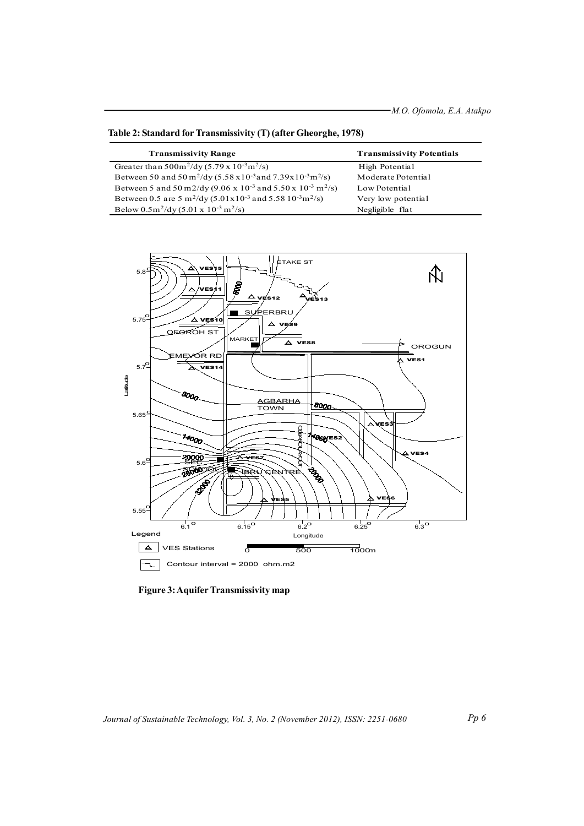| <b>Transmissivity Range</b>                                                                               | <b>Transmissivity Potentials</b> |
|-----------------------------------------------------------------------------------------------------------|----------------------------------|
| Greater than $500 \text{m}^2/\text{dy}$ (5.79 x 10 <sup>-3</sup> m <sup>2</sup> /s)                       | High Potential                   |
| Between 50 and 50 m <sup>2</sup> /dy (5.58 x10 <sup>-3</sup> and 7.39x10 <sup>-3</sup> m <sup>2</sup> /s) | Moderate Potential               |
| Between 5 and 50 m2/dy (9.06 x 10 <sup>-3</sup> and 5.50 x 10 <sup>-3</sup> m <sup>2</sup> /s)            | Low Potential                    |
| Between 0.5 are 5 m <sup>2</sup> /dy (5.01x10 <sup>-3</sup> and 5.58 10 <sup>-3</sup> m <sup>2</sup> /s)  | Very low potential               |
| Below $0.5m^2$ /dy $(5.01 \times 10^{-3} \text{ m}^2/\text{s})$                                           | Negligible flat                  |

Table 2: Standard for Transmissivity (T) (after Gheorghe, 1978)

ETAKE ST  $\hat{A}$  $\hat{\Delta}$  $5.8^9$ △ **ERBRU**  $\mathbf{s}$  $5.75$ <sup> $<sup>c</sup>$ </sup></sup>  $\Delta$  ves10  $\blacktriangle$ .<br>. а  $\mathbf{v}$ OFOROH ST **MARKET**  $\overline{\triangle}$  vess OROGUN MEYOR RE VES1  $5.7^{6}$ ⋝  $VES1$ Latitude 8000 AGBARHA<br>TOWN 8000  $5.65$ <sup>1</sup> **TOLARD** 14000 ⁄ี*40*oy∈s VES4 20000 AVE  $5.6^{C}$ Japan **ROODSE** *JAEI* 3208 5.55  $6.3^\circ$  $6.1^{\circ}$  $6.15^{\circ}$  $6.2^\circ$  $6.25^{\circ}$ Legend Longitude  $\sqrt{\Delta}$ **VES Stations**  $\overline{\circ}$  $\frac{1}{500}$  $\frac{1}{10}$ om Contour interval = 2000 ohm.m2  $\boxed{\neg}$ 

**Figure 3: Aquifer Transmissivity map**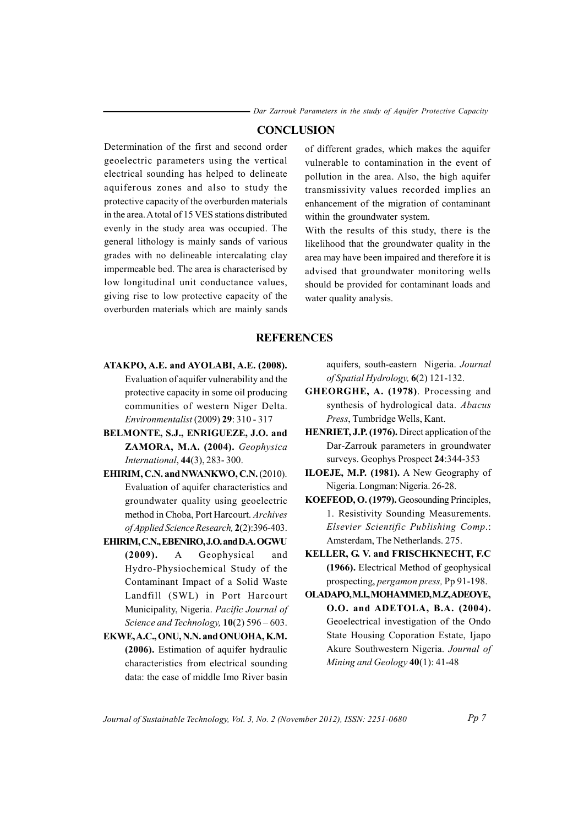*F* Dar Zarrouk Parameters in the study of Aquifer Protective Capacity

# $$

Determination of the first and second order geoelectric parameters using the vertical electrical sounding has helped to delineate aquiferous zones and also to study the protective capacity of the overburden materials in the area. A total of 15 VES stations distributed evenly in the study area was occupied. The general lithology is mainly sands of various grades with no delineable intercalating clay impermeable bed. The area is characterised by low longitudinal unit conductance values, giving rise to low protective capacity of the overburden materials which are mainly sands

of different grades, which makes the aquifer vulnerable to contamination in the event of pollution in the area. Also, the high aquifer transmissivity values recorded implies an enhancement of the migration of contaminant within the groundwater system.

With the results of this study, there is the likelihood that the groundwater quality in the area may have been impaired and therefore it is advised that groundwater monitoring wells should be provided for contaminant loads and water quality analysis.

### **REFERENCES**

- **ATAK OP , A E. . a dn AY LO IBA , A.E. (2 00 8 .)** Evaluation of aquifer vulnerability and the protective capacity in some oil producing communities of western Niger Delta. *Environmentalist* (2009) **29**: 310 - 317
- **ELMONTE, S.J., ENRIGUEZE, J.O.** and **ZAMORA, M.A.** (2004). Geophysica *International*, 44(3), 283-300.
- **EHIRIM, C.N. and NWANKWO, C.N. (2010).** Evaluation of aquifer characteristics and groundwater quality using geoelectric method in Choba, Port Harcourt. Archives *of Appl ei d Sc ei n ec Re es a cr h,* **2**(2 :) 39 -6 403.
- $EHHIM, C.N., EBENIRO, J.O.$  and  $D.A.$  OGWU (2009). A Geophysical and Hydro-Physiochemical Study of the Contaminant Impact of a Solid Waste Landfill (SWL) in Port Harcourt Municipality, Nigeria. *Pacific Journal of Science and Technology*, **10**(2) 596 – 603.
- $EKWE$ , A.C., ONU, N.N. and ONUOHA, K.M. **(2006).** Estimation of aquifer hydraulic characteristics from electrical sounding data: the case of middle Imo River basin

aquifers, south-eastern Nigeria. *Journal of Spatial Hydrology*,  $6(2)$  121-132.

- **GHEORGHE, A. (1978)**. Processing and synthesis of hydrological data. Abacus *Press*, Tumbridge Wells, Kant.
- **HENRIET, J.P.** (1976). Direct application of the Dar-Zarrouk parameters in groundwater surveys. Geophys Prospect 24:344-353
- **ILOEJE, M.P.** (1981). A New Geography of Nigeria. Longman: Nigeria. 26-28.
- **KOEFEOD, O. (1979).** Geosounding Principles, 1. Resistivity Sounding Measurements. *<i>Elsevier Scientific Publishing Comp.:* Amsterdam, The Netherlands. 275.
- $KELLER, G, V.$  and  $FRISCHKNECHT, F.C.$ **(1966).** Electrical Method of geophysical prospecting, *pergamon press*, Pp 91-198.
- **LO A PAD O,M. ,.I M HO A MM ED,M.Z,A OED YE, O. .O a dn A ED T ALO , B. .A ( 002 4).** Geoelectrical investigation of the Ondo State Housing Coporation Estate, Ijapo Akure Southwestern Nigeria. *Journal of Mining and Geology*  $40(1)$ : 41-48